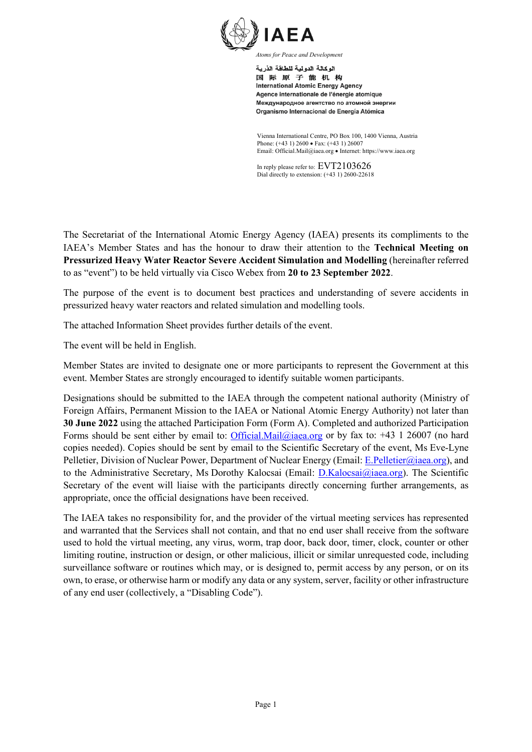

اله كالة الدو لبة للطاقة الذر بة 国际原子能机构 **International Atomic Energy Agency** Agence internationale de l'énergie atomique Международное агентство по атомной энергии Organismo Internacional de Energía Atómica

Vienna International Centre, PO Box 100, 1400 Vienna, Austria Phone: (+43 1) 2600 • Fax: (+43 1) 26007 Email: Official.Mail@iaea.org • Internet: https://www.iaea.org

In reply please refer to: EVT2103626 Dial directly to extension: (+43 1) 2600-22618

The Secretariat of the International Atomic Energy Agency (IAEA) presents its compliments to the IAEA's Member States and has the honour to draw their attention to the **Technical Meeting on Pressurized Heavy Water Reactor Severe Accident Simulation and Modelling** (hereinafter referred to as "event") to be held virtually via Cisco Webex from **20 to 23 September 2022**.

The purpose of the event is to document best practices and understanding of severe accidents in pressurized heavy water reactors and related simulation and modelling tools.

The attached Information Sheet provides further details of the event.

The event will be held in English.

Member States are invited to designate one or more participants to represent the Government at this event. Member States are strongly encouraged to identify suitable women participants.

Designations should be submitted to the IAEA through the competent national authority (Ministry of Foreign Affairs, Permanent Mission to the IAEA or National Atomic Energy Authority) not later than **30 June 2022** using the attached Participation Form (Form A). Completed and authorized Participation Forms should be sent either by email to: [Official.Mail@iaea.org](mailto:official.mail@iaea.org) or by fax to: +43 1 26007 (no hard copies needed). Copies should be sent by email to the Scientific Secretary of the event, Ms Eve-Lyne Pelletier, Division of Nuclear Power, Department of Nuclear Energy (Email[: E.Pelletier@iaea.org\)](mailto:E.Pelletier@iaea.org), and to the Administrative Secretary, Ms Dorothy Kalocsai (Email: [D.Kalocsai@iaea.org\)](mailto:D.Kalocsai@iaea.org). The Scientific Secretary of the event will liaise with the participants directly concerning further arrangements, as appropriate, once the official designations have been received.

The IAEA takes no responsibility for, and the provider of the virtual meeting services has represented and warranted that the Services shall not contain, and that no end user shall receive from the software used to hold the virtual meeting, any virus, worm, trap door, back door, timer, clock, counter or other limiting routine, instruction or design, or other malicious, illicit or similar unrequested code, including surveillance software or routines which may, or is designed to, permit access by any person, or on its own, to erase, or otherwise harm or modify any data or any system, server, facility or other infrastructure of any end user (collectively, a "Disabling Code").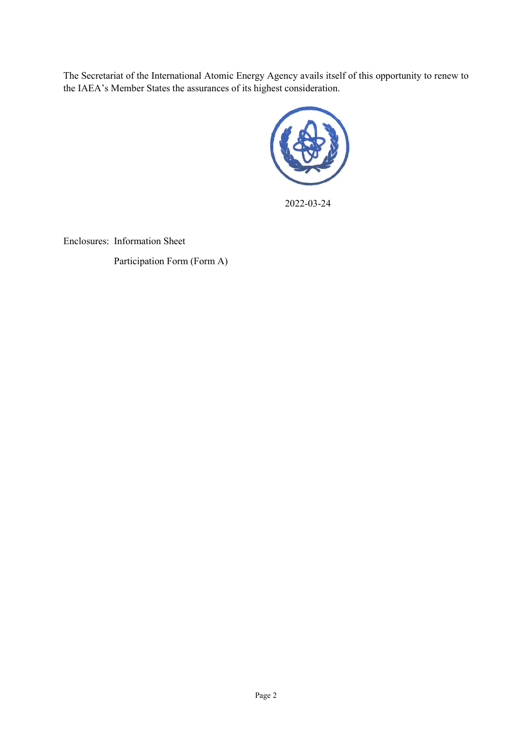The Secretariat of the International Atomic Energy Agency avails itself of this opportunity to renew to the IAEA's Member States the assurances of its highest consideration.



2022-03-24

Enclosures: Information Sheet

Participation Form (Form A)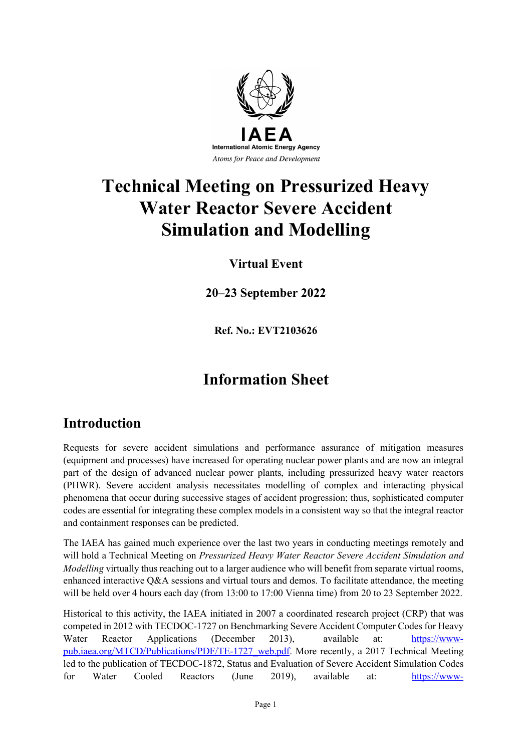

# **Technical Meeting on Pressurized Heavy Water Reactor Severe Accident Simulation and Modelling**

### **Virtual Event**

**20–23 September 2022**

**Ref. No.: EVT2103626**

## **Information Sheet**

### **Introduction**

Requests for severe accident simulations and performance assurance of mitigation measures (equipment and processes) have increased for operating nuclear power plants and are now an integral part of the design of advanced nuclear power plants, including pressurized heavy water reactors (PHWR). Severe accident analysis necessitates modelling of complex and interacting physical phenomena that occur during successive stages of accident progression; thus, sophisticated computer codes are essential for integrating these complex models in a consistent way so that the integral reactor and containment responses can be predicted.

The IAEA has gained much experience over the last two years in conducting meetings remotely and will hold a Technical Meeting on *Pressurized Heavy Water Reactor Severe Accident Simulation and Modelling* virtually thus reaching out to a larger audience who will benefit from separate virtual rooms, enhanced interactive Q&A sessions and virtual tours and demos. To facilitate attendance, the meeting will be held over 4 hours each day (from 13:00 to 17:00 Vienna time) from 20 to 23 September 2022.

Historical to this activity, the IAEA initiated in 2007 a coordinated research project (CRP) that was competed in 2012 with TECDOC-1727 on Benchmarking Severe Accident Computer Codes for Heavy Water Reactor Applications (December 2013), available at: [https://www](https://www-pub.iaea.org/MTCD/Publications/PDF/TE-1727_web.pdf)[pub.iaea.org/MTCD/Publications/PDF/TE-1727\\_web.pdf.](https://www-pub.iaea.org/MTCD/Publications/PDF/TE-1727_web.pdf) More recently, a 2017 Technical Meeting led to the publication of TECDOC-1872, Status and Evaluation of Severe Accident Simulation Codes for Water Cooled Reactors (June 2019), available at: [https://www-](https://www-pub.iaea.org/MTCD/Publications/PDF/TE-1872web.pdf)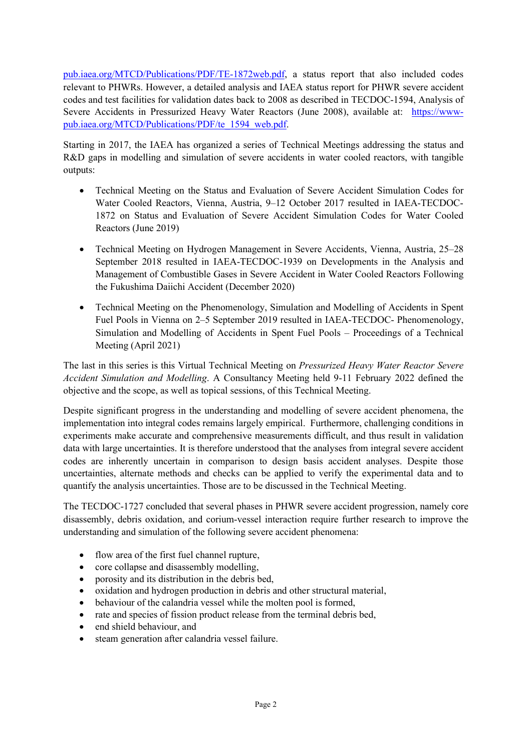[pub.iaea.org/MTCD/Publications/PDF/TE-1872web.pdf,](https://www-pub.iaea.org/MTCD/Publications/PDF/TE-1872web.pdf) a status report that also included codes relevant to PHWRs. However, a detailed analysis and IAEA status report for PHWR severe accident codes and test facilities for validation dates back to 2008 as described in TECDOC-1594, Analysis of Severe Accidents in Pressurized Heavy Water Reactors (June 2008), available at: [https://www](https://www-pub.iaea.org/MTCD/Publications/PDF/te_1594_web.pdf)[pub.iaea.org/MTCD/Publications/PDF/te\\_1594\\_web.pdf.](https://www-pub.iaea.org/MTCD/Publications/PDF/te_1594_web.pdf)

Starting in 2017, the IAEA has organized a series of Technical Meetings addressing the status and R&D gaps in modelling and simulation of severe accidents in water cooled reactors, with tangible outputs:

- Technical Meeting on the Status and Evaluation of Severe Accident Simulation Codes for Water Cooled Reactors, Vienna, Austria, 9–12 October 2017 resulted in IAEA-TECDOC-1872 on Status and Evaluation of Severe Accident Simulation Codes for Water Cooled Reactors (June 2019)
- Technical Meeting on Hydrogen Management in Severe Accidents, Vienna, Austria, 25–28 September 2018 resulted in IAEA-TECDOC-1939 on Developments in the Analysis and Management of Combustible Gases in Severe Accident in Water Cooled Reactors Following the Fukushima Daiichi Accident (December 2020)
- Technical Meeting on the Phenomenology, Simulation and Modelling of Accidents in Spent Fuel Pools in Vienna on 2–5 September 2019 resulted in IAEA-TECDOC- Phenomenology, Simulation and Modelling of Accidents in Spent Fuel Pools – Proceedings of a Technical Meeting (April 2021)

The last in this series is this Virtual Technical Meeting on *Pressurized Heavy Water Reactor Severe Accident Simulation and Modelling*. A Consultancy Meeting held 9-11 February 2022 defined the objective and the scope, as well as topical sessions, of this Technical Meeting.

Despite significant progress in the understanding and modelling of severe accident phenomena, the implementation into integral codes remains largely empirical. Furthermore, challenging conditions in experiments make accurate and comprehensive measurements difficult, and thus result in validation data with large uncertainties. It is therefore understood that the analyses from integral severe accident codes are inherently uncertain in comparison to design basis accident analyses. Despite those uncertainties, alternate methods and checks can be applied to verify the experimental data and to quantify the analysis uncertainties. Those are to be discussed in the Technical Meeting.

The TECDOC-1727 concluded that several phases in PHWR severe accident progression, namely core disassembly, debris oxidation, and corium-vessel interaction require further research to improve the understanding and simulation of the following severe accident phenomena:

- flow area of the first fuel channel rupture,
- core collapse and disassembly modelling,
- porosity and its distribution in the debris bed,
- oxidation and hydrogen production in debris and other structural material,
- behaviour of the calandria vessel while the molten pool is formed,
- rate and species of fission product release from the terminal debris bed,
- end shield behaviour, and
- steam generation after calandria vessel failure.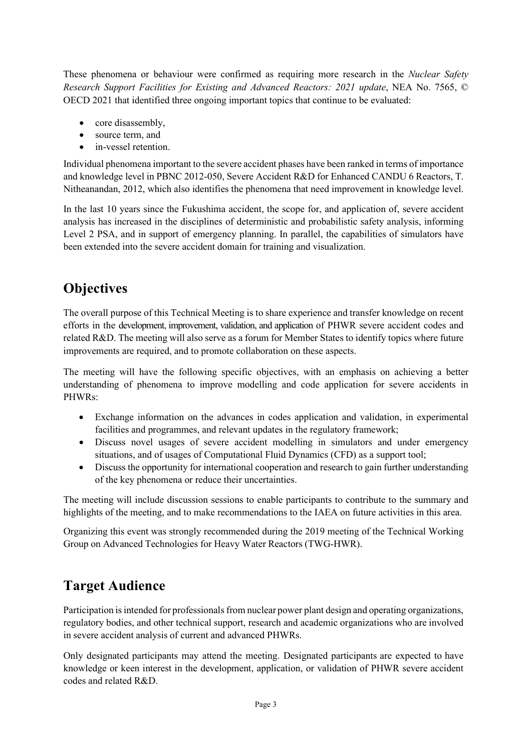These phenomena or behaviour were confirmed as requiring more research in the *Nuclear Safety Research Support Facilities for Existing and Advanced Reactors: 2021 update*, NEA No. 7565, © OECD 2021 that identified three ongoing important topics that continue to be evaluated:

- core disassembly,
- source term, and
- in-vessel retention.

Individual phenomena important to the severe accident phases have been ranked in terms of importance and knowledge level in PBNC 2012-050, Severe Accident R&D for Enhanced CANDU 6 Reactors, T. Nitheanandan, 2012, which also identifies the phenomena that need improvement in knowledge level.

In the last 10 years since the Fukushima accident, the scope for, and application of, severe accident analysis has increased in the disciplines of deterministic and probabilistic safety analysis, informing Level 2 PSA, and in support of emergency planning. In parallel, the capabilities of simulators have been extended into the severe accident domain for training and visualization.

### **Objectives**

The overall purpose of this Technical Meeting is to share experience and transfer knowledge on recent efforts in the development, improvement, validation, and application of PHWR severe accident codes and related R&D. The meeting will also serve as a forum for Member States to identify topics where future improvements are required, and to promote collaboration on these aspects.

The meeting will have the following specific objectives, with an emphasis on achieving a better understanding of phenomena to improve modelling and code application for severe accidents in PHWRs:

- Exchange information on the advances in codes application and validation, in experimental facilities and programmes, and relevant updates in the regulatory framework;
- Discuss novel usages of severe accident modelling in simulators and under emergency situations, and of usages of Computational Fluid Dynamics (CFD) as a support tool;
- Discuss the opportunity for international cooperation and research to gain further understanding of the key phenomena or reduce their uncertainties.

The meeting will include discussion sessions to enable participants to contribute to the summary and highlights of the meeting, and to make recommendations to the IAEA on future activities in this area.

Organizing this event was strongly recommended during the 2019 meeting of the Technical Working Group on Advanced Technologies for Heavy Water Reactors (TWG-HWR).

### **Target Audience**

Participation is intended for professionals from nuclear power plant design and operating organizations, regulatory bodies, and other technical support, research and academic organizations who are involved in severe accident analysis of current and advanced PHWRs.

Only designated participants may attend the meeting. Designated participants are expected to have knowledge or keen interest in the development, application, or validation of PHWR severe accident codes and related R&D.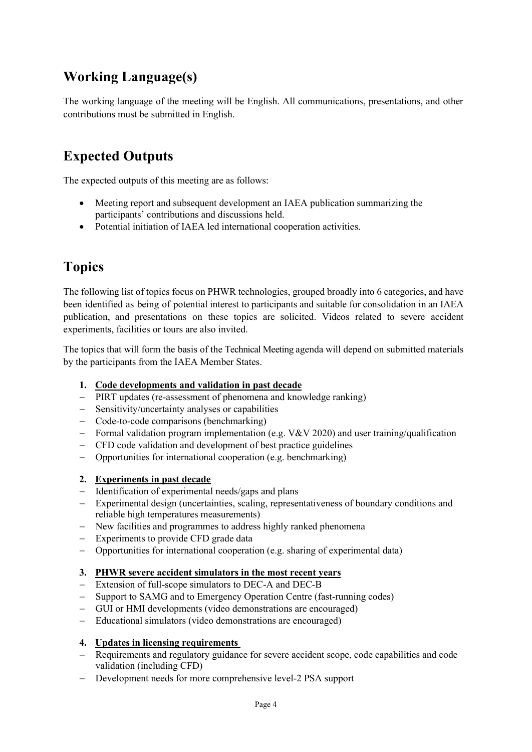### **Working Language(s)**

The working language of the meeting will be English. All communications, presentations, and other contributions must be submitted in English.

### **Expected Outputs**

The expected outputs of this meeting are as follows:

- Meeting report and subsequent development an IAEA publication summarizing the participants' contributions and discussions held.
- Potential initiation of IAEA led international cooperation activities.

### **Topics**

The following list of topics focus on PHWR technologies, grouped broadly into 6 categories, and have been identified as being of potential interest to participants and suitable for consolidation in an IAEA publication, and presentations on these topics are solicited. Videos related to severe accident experiments, facilities or tours are also invited.

The topics that will form the basis of the Technical Meeting agenda will depend on submitted materials by the participants from the IAEA Member States.

#### **1. Code developments and validation in past decade**

- − PIRT updates (re-assessment of phenomena and knowledge ranking)
- − Sensitivity/uncertainty analyses or capabilities
- − Code-to-code comparisons (benchmarking)
- − Formal validation program implementation (e.g. V&V 2020) and user training/qualification
- − CFD code validation and development of best practice guidelines
- − Opportunities for international cooperation (e.g. benchmarking)

#### **2. Experiments in past decade**

- − Identification of experimental needs/gaps and plans
- − Experimental design (uncertainties, scaling, representativeness of boundary conditions and reliable high temperatures measurements)
- − New facilities and programmes to address highly ranked phenomena
- − Experiments to provide CFD grade data
- − Opportunities for international cooperation (e.g. sharing of experimental data)

#### **3. PHWR severe accident simulators in the most recent years**

- − Extension of full-scope simulators to DEC-A and DEC-B
- − Support to SAMG and to Emergency Operation Centre (fast-running codes)
- − GUI or HMI developments (video demonstrations are encouraged)
- − Educational simulators (video demonstrations are encouraged)

#### **4. Updates in licensing requirements**

- − Requirements and regulatory guidance for severe accident scope, code capabilities and code validation (including CFD)
- − Development needs for more comprehensive level-2 PSA support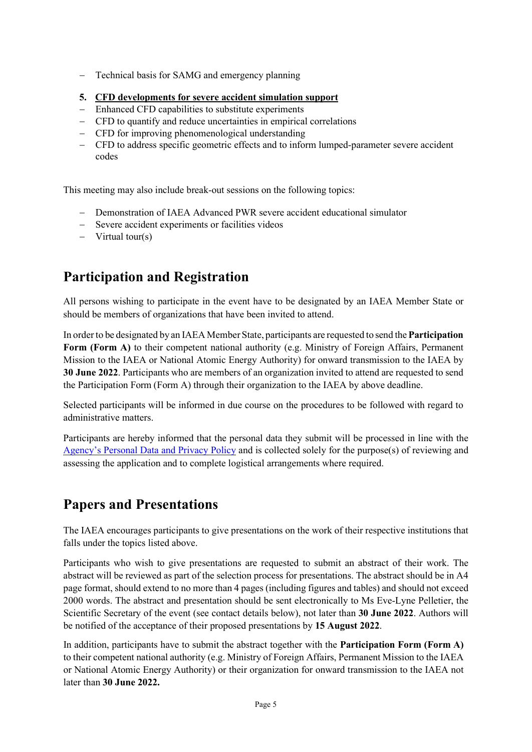- − Technical basis for SAMG and emergency planning
- **5. CFD developments for severe accident simulation support**
- − Enhanced CFD capabilities to substitute experiments
- − CFD to quantify and reduce uncertainties in empirical correlations
- − CFD for improving phenomenological understanding
- − CFD to address specific geometric effects and to inform lumped-parameter severe accident codes

This meeting may also include break-out sessions on the following topics:

- − Demonstration of IAEA Advanced PWR severe accident educational simulator
- − Severe accident experiments or facilities videos
- − Virtual tour(s)

### **Participation and Registration**

All persons wishing to participate in the event have to be designated by an IAEA Member State or should be members of organizations that have been invited to attend.

In order to be designated by an IAEA Member State, participants are requested to send the**Participation Form (Form A)** to their competent national authority (e.g. Ministry of Foreign Affairs, Permanent Mission to the IAEA or National Atomic Energy Authority) for onward transmission to the IAEA by **30 June 2022**. Participants who are members of an organization invited to attend are requested to send the Participation Form (Form A) through their organization to the IAEA by above deadline.

Selected participants will be informed in due course on the procedures to be followed with regard to administrative matters.

Participants are hereby informed that the personal data they submit will be processed in line with the [Agency's Personal Data and Privacy Policy](https://www.iaea.org/about/privacy-policy#:%7E:text=The%20IAEA%20is%20committed%20to,accountable%20and%20non%2Ddiscriminatory%20manner.&text=The%20Privacy%20Policy%20provides%20the,carrying%20out%20its%20mandated%20activities.) and is collected solely for the purpose(s) of reviewing and assessing the application and to complete logistical arrangements where required.

### **Papers and Presentations**

The IAEA encourages participants to give presentations on the work of their respective institutions that falls under the topics listed above.

Participants who wish to give presentations are requested to submit an abstract of their work. The abstract will be reviewed as part of the selection process for presentations. The abstract should be in A4 page format, should extend to no more than 4 pages (including figures and tables) and should not exceed 2000 words. The abstract and presentation should be sent electronically to Ms Eve-Lyne Pelletier, the Scientific Secretary of the event (see contact details below), not later than **30 June 2022**. Authors will be notified of the acceptance of their proposed presentations by **15 August 2022**.

In addition, participants have to submit the abstract together with the **Participation Form (Form A)** to their competent national authority (e.g. Ministry of Foreign Affairs, Permanent Mission to the IAEA or National Atomic Energy Authority) or their organization for onward transmission to the IAEA not later than **30 June 2022.**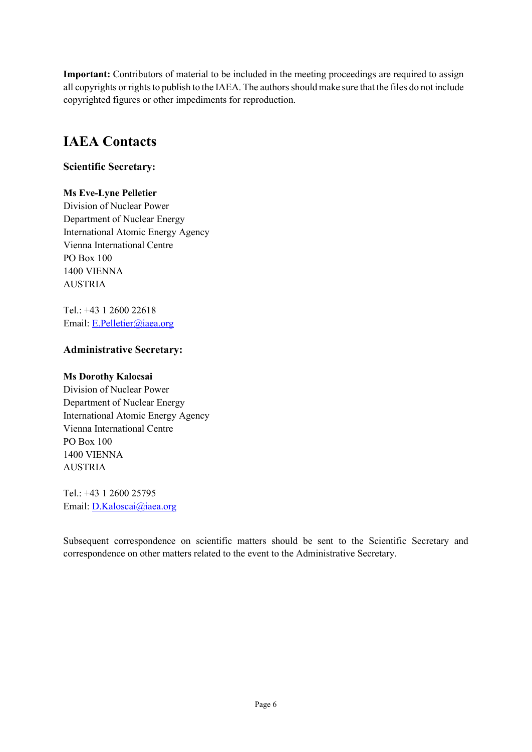**Important:** Contributors of material to be included in the meeting proceedings are required to assign all copyrights or rights to publish to the IAEA. The authors should make sure that the files do not include copyrighted figures or other impediments for reproduction.

### **IAEA Contacts**

#### **Scientific Secretary:**

#### **Ms Eve-Lyne Pelletier**

Division of Nuclear Power Department of Nuclear Energy International Atomic Energy Agency Vienna International Centre PO Box 100 1400 VIENNA AUSTRIA

Tel.: +43 1 2600 22618 Email: [E.Pelletier@iaea.org](mailto:E.Pelletier@iaea.org)

#### **Administrative Secretary:**

#### **Ms Dorothy Kalocsai**

Division of Nuclear Power Department of Nuclear Energy International Atomic Energy Agency Vienna International Centre PO Box 100 1400 VIENNA AUSTRIA

Tel.: +43 1 2600 25795 Email: [D.Kaloscai@iaea.org](mailto:D.Kaloscai@iaea.org)

Subsequent correspondence on scientific matters should be sent to the Scientific Secretary and correspondence on other matters related to the event to the Administrative Secretary.